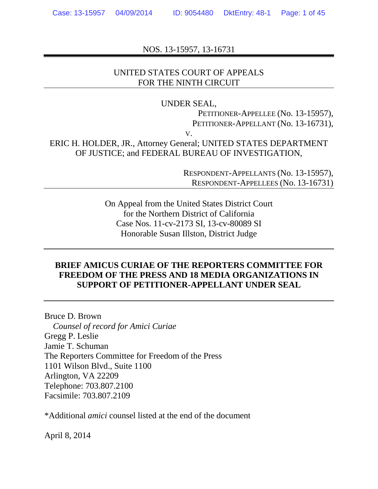NOS. 13-15957, 13-16731

### UNITED STATES COURT OF APPEALS FOR THE NINTH CIRCUIT

#### UNDER SEAL,

PETITIONER-APPELLEE (No. 13-15957), PETITIONER-APPELLANT (No. 13-16731),

V.

ERIC H. HOLDER, JR., Attorney General; UNITED STATES DEPARTMENT OF JUSTICE; and FEDERAL BUREAU OF INVESTIGATION,

> RESPONDENT-APPELLANTS (No. 13-15957), RESPONDENT-APPELLEES (No. 13-16731)

On Appeal from the United States District Court for the Northern District of California Case Nos. 11-cv-2173 SI, 13-cv-80089 SI Honorable Susan Illston, District Judge

## **BRIEF AMICUS CURIAE OF THE REPORTERS COMMITTEE FOR FREEDOM OF THE PRESS AND 18 MEDIA ORGANIZATIONS IN SUPPORT OF PETITIONER-APPELLANT UNDER SEAL**

Bruce D. Brown  *Counsel of record for Amici Curiae*  Gregg P. Leslie Jamie T. Schuman The Reporters Committee for Freedom of the Press 1101 Wilson Blvd., Suite 1100 Arlington, VA 22209 Telephone: 703.807.2100 Facsimile: 703.807.2109

\*Additional *amici* counsel listed at the end of the document

April 8, 2014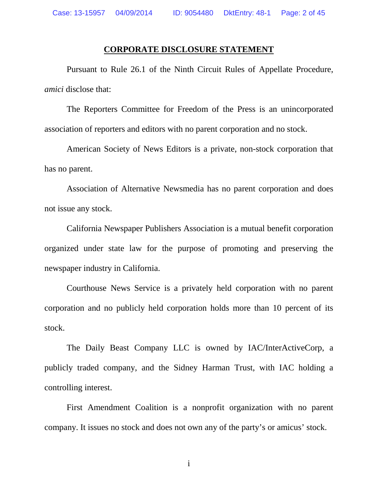#### **CORPORATE DISCLOSURE STATEMENT**

Pursuant to Rule 26.1 of the Ninth Circuit Rules of Appellate Procedure, *amici* disclose that:

The Reporters Committee for Freedom of the Press is an unincorporated association of reporters and editors with no parent corporation and no stock.

American Society of News Editors is a private, non-stock corporation that has no parent.

Association of Alternative Newsmedia has no parent corporation and does not issue any stock.

California Newspaper Publishers Association is a mutual benefit corporation organized under state law for the purpose of promoting and preserving the newspaper industry in California.

Courthouse News Service is a privately held corporation with no parent corporation and no publicly held corporation holds more than 10 percent of its stock.

The Daily Beast Company LLC is owned by IAC/InterActiveCorp, a publicly traded company, and the Sidney Harman Trust, with IAC holding a controlling interest.

First Amendment Coalition is a nonprofit organization with no parent company. It issues no stock and does not own any of the party's or amicus' stock.

i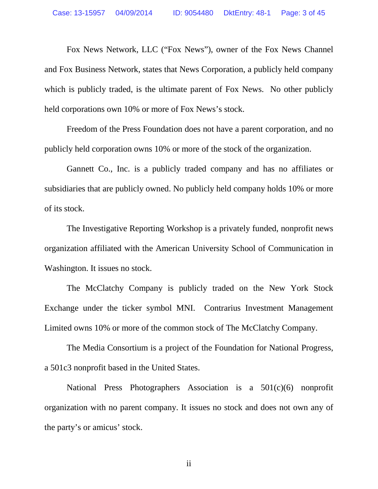Fox News Network, LLC ("Fox News"), owner of the Fox News Channel and Fox Business Network, states that News Corporation, a publicly held company which is publicly traded, is the ultimate parent of Fox News. No other publicly held corporations own 10% or more of Fox News's stock.

Freedom of the Press Foundation does not have a parent corporation, and no publicly held corporation owns 10% or more of the stock of the organization.

Gannett Co., Inc. is a publicly traded company and has no affiliates or subsidiaries that are publicly owned. No publicly held company holds 10% or more of its stock.

The Investigative Reporting Workshop is a privately funded, nonprofit news organization affiliated with the American University School of Communication in Washington. It issues no stock.

The McClatchy Company is publicly traded on the New York Stock Exchange under the ticker symbol MNI. Contrarius Investment Management Limited owns 10% or more of the common stock of The McClatchy Company.

The Media Consortium is a project of the Foundation for National Progress, a 501c3 nonprofit based in the United States.

National Press Photographers Association is a 501(c)(6) nonprofit organization with no parent company. It issues no stock and does not own any of the party's or amicus' stock.

ii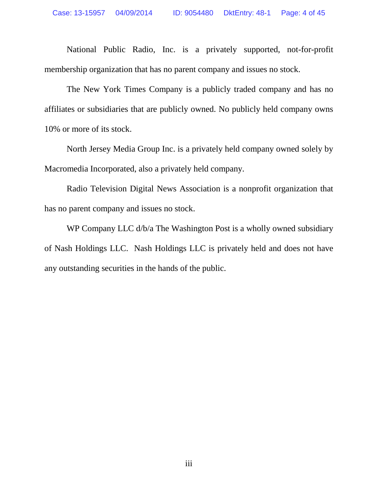National Public Radio, Inc. is a privately supported, not-for-profit membership organization that has no parent company and issues no stock.

The New York Times Company is a publicly traded company and has no affiliates or subsidiaries that are publicly owned. No publicly held company owns 10% or more of its stock.

North Jersey Media Group Inc. is a privately held company owned solely by Macromedia Incorporated, also a privately held company.

Radio Television Digital News Association is a nonprofit organization that has no parent company and issues no stock.

WP Company LLC  $d/b/a$  The Washington Post is a wholly owned subsidiary of Nash Holdings LLC. Nash Holdings LLC is privately held and does not have any outstanding securities in the hands of the public.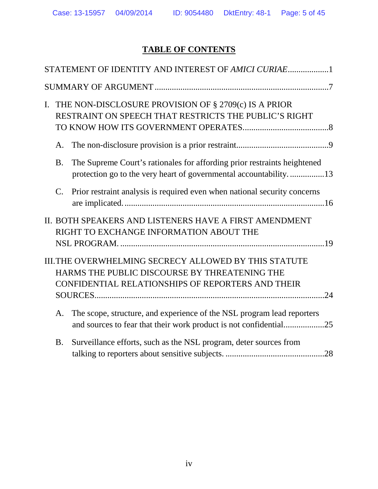# **TABLE OF CONTENTS**

| L. |             | THE NON-DISCLOSURE PROVISION OF § 2709(c) IS A PRIOR<br>RESTRAINT ON SPEECH THAT RESTRICTS THE PUBLIC'S RIGHT                                               |
|----|-------------|-------------------------------------------------------------------------------------------------------------------------------------------------------------|
|    | A.          |                                                                                                                                                             |
|    | <b>B.</b>   | The Supreme Court's rationales for affording prior restraints heightened<br>protection go to the very heart of governmental accountability13                |
|    | $C_{\cdot}$ | Prior restraint analysis is required even when national security concerns                                                                                   |
|    |             | II. BOTH SPEAKERS AND LISTENERS HAVE A FIRST AMENDMENT<br>RIGHT TO EXCHANGE INFORMATION ABOUT THE                                                           |
|    |             |                                                                                                                                                             |
|    |             | III. THE OVERWHELMING SECRECY ALLOWED BY THIS STATUTE<br>HARMS THE PUBLIC DISCOURSE BY THREATENING THE<br>CONFIDENTIAL RELATIONSHIPS OF REPORTERS AND THEIR |
|    |             |                                                                                                                                                             |
|    | A.          | The scope, structure, and experience of the NSL program lead reporters<br>and sources to fear that their work product is not confidential25                 |
|    | <b>B.</b>   | Surveillance efforts, such as the NSL program, deter sources from                                                                                           |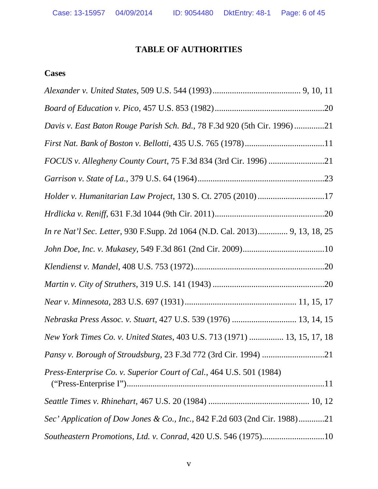## **TABLE OF AUTHORITIES**

## **Cases**

| Davis v. East Baton Rouge Parish Sch. Bd., 78 F.3d 920 (5th Cir. 1996)21    |
|-----------------------------------------------------------------------------|
|                                                                             |
|                                                                             |
|                                                                             |
| Holder v. Humanitarian Law Project, 130 S. Ct. 2705 (2010) 17               |
|                                                                             |
| In re Nat'l Sec. Letter, 930 F.Supp. 2d 1064 (N.D. Cal. 2013) 9, 13, 18, 25 |
|                                                                             |
|                                                                             |
|                                                                             |
|                                                                             |
| Nebraska Press Assoc. v. Stuart, 427 U.S. 539 (1976)  13, 14, 15            |
| New York Times Co. v. United States, 403 U.S. 713 (1971)  13, 15, 17, 18    |
|                                                                             |
| Press-Enterprise Co. v. Superior Court of Cal., 464 U.S. 501 (1984)         |
|                                                                             |
| Sec' Application of Dow Jones & Co., Inc., 842 F.2d 603 (2nd Cir. 1988)21   |
| Southeastern Promotions, Ltd. v. Conrad, 420 U.S. 546 (1975)10              |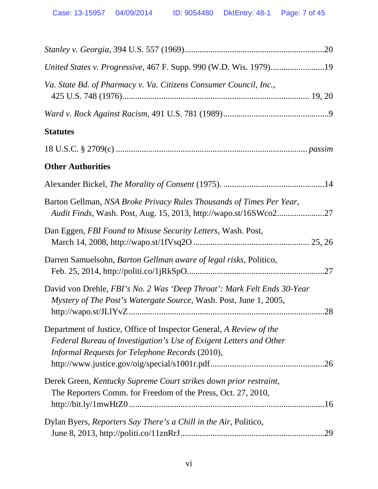| United States v. Progressive, 467 F. Supp. 990 (W.D. Wis. 1979)19                                                                                                                                   |
|-----------------------------------------------------------------------------------------------------------------------------------------------------------------------------------------------------|
| Va. State Bd. of Pharmacy v. Va. Citizens Consumer Council, Inc.,                                                                                                                                   |
|                                                                                                                                                                                                     |
| <b>Statutes</b>                                                                                                                                                                                     |
|                                                                                                                                                                                                     |
| <b>Other Authorities</b>                                                                                                                                                                            |
|                                                                                                                                                                                                     |
| Barton Gellman, NSA Broke Privacy Rules Thousands of Times Per Year,<br>Audit Finds, Wash. Post, Aug. 15, 2013, http://wapo.st/16SWco227                                                            |
| Dan Eggen, FBI Found to Misuse Security Letters, Wash. Post,                                                                                                                                        |
| Darren Samuelsohn, Barton Gellman aware of legal risks, Politico,                                                                                                                                   |
| David von Drehle, FBI's No. 2 Was 'Deep Throat': Mark Felt Ends 30-Year<br>Mystery of The Post's Watergate Source, Wash. Post, June 1, 2005,                                                        |
| Department of Justice, Office of Inspector General, A Review of the<br>Federal Bureau of Investigation's Use of Exigent Letters and Other<br>Informal Requests for Telephone Records (2010),<br>.26 |
| Derek Green, Kentucky Supreme Court strikes down prior restraint,<br>The Reporters Comm. for Freedom of the Press, Oct. 27, 2010,                                                                   |
| Dylan Byers, Reporters Say There's a Chill in the Air, Politico,<br>.29                                                                                                                             |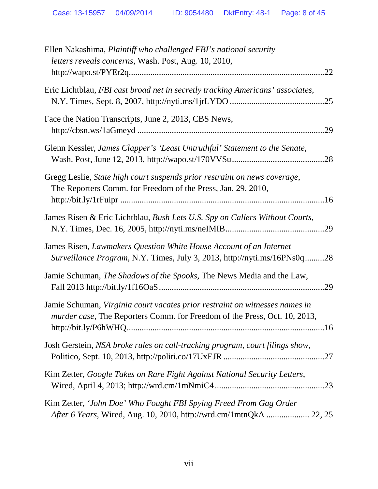| Ellen Nakashima, Plaintiff who challenged FBI's national security<br>letters reveals concerns, Wash. Post, Aug. 10, 2010,<br>.22                         |
|----------------------------------------------------------------------------------------------------------------------------------------------------------|
| Eric Lichtblau, FBI cast broad net in secretly tracking Americans' associates,                                                                           |
| Face the Nation Transcripts, June 2, 2013, CBS News,                                                                                                     |
| Glenn Kessler, James Clapper's 'Least Untruthful' Statement to the Senate,                                                                               |
| Gregg Leslie, State high court suspends prior restraint on news coverage,<br>The Reporters Comm. for Freedom of the Press, Jan. 29, 2010,                |
| James Risen & Eric Lichtblau, Bush Lets U.S. Spy on Callers Without Courts,                                                                              |
| James Risen, Lawmakers Question White House Account of an Internet<br>Surveillance Program, N.Y. Times, July 3, 2013, http://nyti.ms/16PNs0q28           |
| Jamie Schuman, <i>The Shadows of the Spooks</i> , The News Media and the Law,                                                                            |
| Jamie Schuman, Virginia court vacates prior restraint on witnesses names in<br>murder case, The Reporters Comm. for Freedom of the Press, Oct. 10, 2013, |
| Josh Gerstein, NSA broke rules on call-tracking program, court filings show,                                                                             |
| Kim Zetter, Google Takes on Rare Fight Against National Security Letters,                                                                                |
| Kim Zetter, 'John Doe' Who Fought FBI Spying Freed From Gag Order                                                                                        |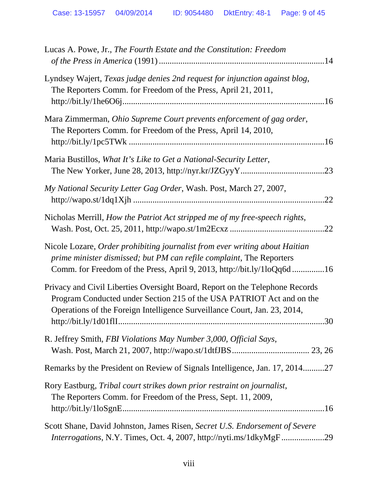| Lucas A. Powe, Jr., The Fourth Estate and the Constitution: Freedom                                                                                                                                                                                               |
|-------------------------------------------------------------------------------------------------------------------------------------------------------------------------------------------------------------------------------------------------------------------|
| Lyndsey Wajert, Texas judge denies 2nd request for injunction against blog,<br>The Reporters Comm. for Freedom of the Press, April 21, 2011,                                                                                                                      |
| Mara Zimmerman, Ohio Supreme Court prevents enforcement of gag order,<br>The Reporters Comm. for Freedom of the Press, April 14, 2010,                                                                                                                            |
| Maria Bustillos, What It's Like to Get a National-Security Letter,                                                                                                                                                                                                |
| My National Security Letter Gag Order, Wash. Post, March 27, 2007,<br>.22                                                                                                                                                                                         |
| Nicholas Merrill, How the Patriot Act stripped me of my free-speech rights,                                                                                                                                                                                       |
| Nicole Lozare, Order prohibiting journalist from ever writing about Haitian<br>prime minister dismissed; but PM can refile complaint, The Reporters<br>Comm. for Freedom of the Press, April 9, 2013, http://bit.ly/1loQq6d16                                     |
| Privacy and Civil Liberties Oversight Board, Report on the Telephone Records<br>Program Conducted under Section 215 of the USA PATRIOT Act and on the<br>Operations of the Foreign Intelligence Surveillance Court, Jan. 23, 2014,<br>30<br>http://bit.ly/1d01flI |
| R. Jeffrey Smith, FBI Violations May Number 3,000, Official Says,                                                                                                                                                                                                 |
| Remarks by the President on Review of Signals Intelligence, Jan. 17, 201427                                                                                                                                                                                       |
| Rory Eastburg, Tribal court strikes down prior restraint on journalist,<br>The Reporters Comm. for Freedom of the Press, Sept. 11, 2009,                                                                                                                          |
| Scott Shane, David Johnston, James Risen, Secret U.S. Endorsement of Severe<br>Interrogations, N.Y. Times, Oct. 4, 2007, http://nyti.ms/1dkyMgF29                                                                                                                 |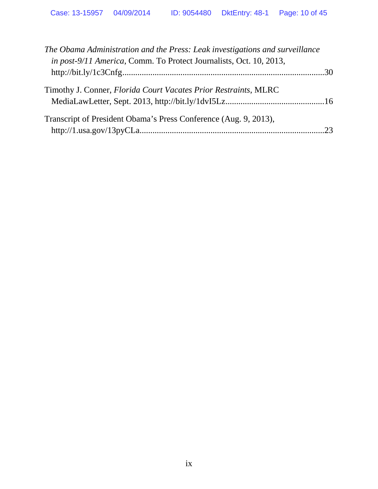| The Obama Administration and the Press: Leak investigations and surveillance<br>in post-9/11 America, Comm. To Protect Journalists, Oct. 10, 2013, |  |
|----------------------------------------------------------------------------------------------------------------------------------------------------|--|
|                                                                                                                                                    |  |
| Timothy J. Conner, Florida Court Vacates Prior Restraints, MLRC                                                                                    |  |
| Transcript of President Obama's Press Conference (Aug. 9, 2013),                                                                                   |  |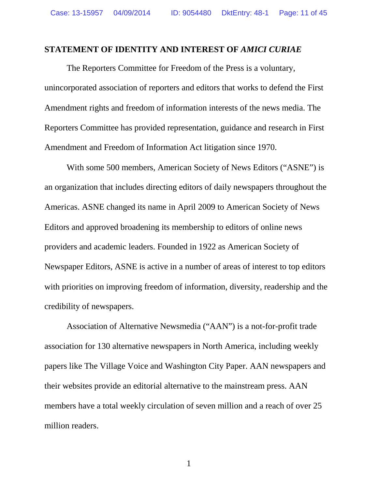#### <span id="page-10-0"></span>**STATEMENT OF IDENTITY AND INTEREST OF** *AMICI CURIAE*

The Reporters Committee for Freedom of the Press is a voluntary, unincorporated association of reporters and editors that works to defend the First Amendment rights and freedom of information interests of the news media. The Reporters Committee has provided representation, guidance and research in First Amendment and Freedom of Information Act litigation since 1970.

With some 500 members, American Society of News Editors ("ASNE") is an organization that includes directing editors of daily newspapers throughout the Americas. ASNE changed its name in April 2009 to American Society of News Editors and approved broadening its membership to editors of online news providers and academic leaders. Founded in 1922 as American Society of Newspaper Editors, ASNE is active in a number of areas of interest to top editors with priorities on improving freedom of information, diversity, readership and the credibility of newspapers.

Association of Alternative Newsmedia ("AAN") is a not-for-profit trade association for 130 alternative newspapers in North America, including weekly papers like The Village Voice and Washington City Paper. AAN newspapers and their websites provide an editorial alternative to the mainstream press. AAN members have a total weekly circulation of seven million and a reach of over 25 million readers.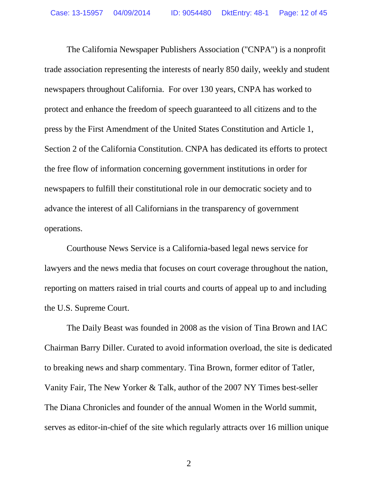The California Newspaper Publishers Association ("CNPA") is a nonprofit trade association representing the interests of nearly 850 daily, weekly and student newspapers throughout California. For over 130 years, CNPA has worked to protect and enhance the freedom of speech guaranteed to all citizens and to the press by the First Amendment of the United States Constitution and Article 1, Section 2 of the California Constitution. CNPA has dedicated its efforts to protect the free flow of information concerning government institutions in order for newspapers to fulfill their constitutional role in our democratic society and to advance the interest of all Californians in the transparency of government operations.

Courthouse News Service is a California-based legal news service for lawyers and the news media that focuses on court coverage throughout the nation, reporting on matters raised in trial courts and courts of appeal up to and including the U.S. Supreme Court.

The Daily Beast was founded in 2008 as the vision of Tina Brown and IAC Chairman Barry Diller. Curated to avoid information overload, the site is dedicated to breaking news and sharp commentary. Tina Brown, former editor of Tatler, Vanity Fair, The New Yorker & Talk, author of the 2007 NY Times best-seller The Diana Chronicles and founder of the annual Women in the World summit, serves as editor-in-chief of the site which regularly attracts over 16 million unique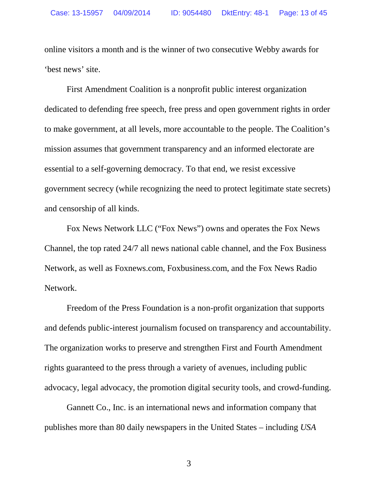online visitors a month and is the winner of two consecutive Webby awards for 'best news' site.

First Amendment Coalition is a nonprofit public interest organization dedicated to defending free speech, free press and open government rights in order to make government, at all levels, more accountable to the people. The Coalition's mission assumes that government transparency and an informed electorate are essential to a self-governing democracy. To that end, we resist excessive government secrecy (while recognizing the need to protect legitimate state secrets) and censorship of all kinds.

Fox News Network LLC ("Fox News") owns and operates the Fox News Channel, the top rated 24/7 all news national cable channel, and the Fox Business Network, as well as Foxnews.com, Foxbusiness.com, and the Fox News Radio Network.

Freedom of the Press Foundation is a non-profit organization that supports and defends public-interest journalism focused on transparency and accountability. The organization works to preserve and strengthen First and Fourth Amendment rights guaranteed to the press through a variety of avenues, including public advocacy, legal advocacy, the promotion digital security tools, and crowd-funding.

Gannett Co., Inc. is an international news and information company that publishes more than 80 daily newspapers in the United States – including *USA*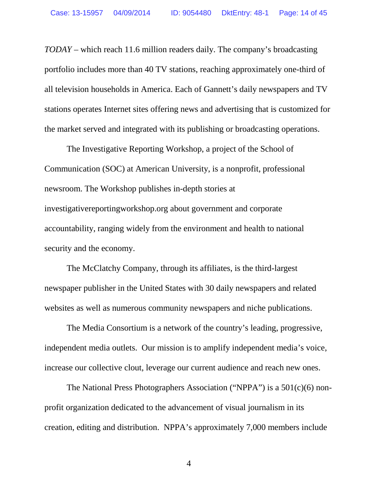*TODAY* – which reach 11.6 million readers daily. The company's broadcasting portfolio includes more than 40 TV stations, reaching approximately one-third of all television households in America. Each of Gannett's daily newspapers and TV stations operates Internet sites offering news and advertising that is customized for the market served and integrated with its publishing or broadcasting operations.

The Investigative Reporting Workshop, a project of the School of Communication (SOC) at American University, is a nonprofit, professional newsroom. The Workshop publishes in-depth stories at investigativereportingworkshop.org about government and corporate accountability, ranging widely from the environment and health to national security and the economy.

The McClatchy Company, through its affiliates, is the third-largest newspaper publisher in the United States with 30 daily newspapers and related websites as well as numerous community newspapers and niche publications.

The Media Consortium is a network of the country's leading, progressive, independent media outlets. Our mission is to amplify independent media's voice, increase our collective clout, leverage our current audience and reach new ones.

The National Press Photographers Association ("NPPA") is a 501(c)(6) nonprofit organization dedicated to the advancement of visual journalism in its creation, editing and distribution. NPPA's approximately 7,000 members include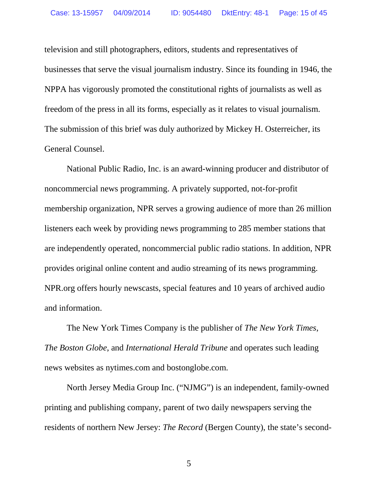television and still photographers, editors, students and representatives of businesses that serve the visual journalism industry. Since its founding in 1946, the NPPA has vigorously promoted the constitutional rights of journalists as well as freedom of the press in all its forms, especially as it relates to visual journalism. The submission of this brief was duly authorized by Mickey H. Osterreicher, its General Counsel.

National Public Radio, Inc. is an award-winning producer and distributor of noncommercial news programming. A privately supported, not-for-profit membership organization, NPR serves a growing audience of more than 26 million listeners each week by providing news programming to 285 member stations that are independently operated, noncommercial public radio stations. In addition, NPR provides original online content and audio streaming of its news programming. NPR.org offers hourly newscasts, special features and 10 years of archived audio and information.

The New York Times Company is the publisher of *The New York Times*, *The Boston Globe*, and *International Herald Tribune* and operates such leading news websites as nytimes.com and bostonglobe.com.

North Jersey Media Group Inc. ("NJMG") is an independent, family-owned printing and publishing company, parent of two daily newspapers serving the residents of northern New Jersey: *The Record* (Bergen County), the state's second-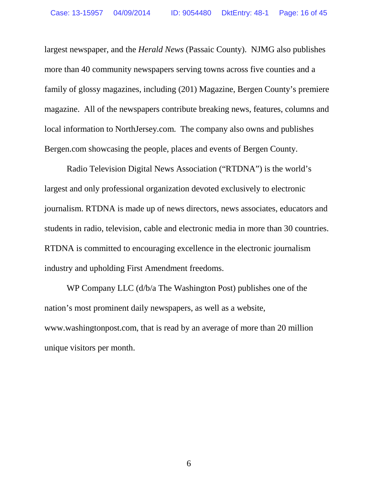largest newspaper, and the *Herald News* (Passaic County). NJMG also publishes more than 40 community newspapers serving towns across five counties and a family of glossy magazines, including (201) Magazine, Bergen County's premiere magazine. All of the newspapers contribute breaking news, features, columns and local information to NorthJersey.com. The company also owns and publishes Bergen.com showcasing the people, places and events of Bergen County.

Radio Television Digital News Association ("RTDNA") is the world's largest and only professional organization devoted exclusively to electronic journalism. RTDNA is made up of news directors, news associates, educators and students in radio, television, cable and electronic media in more than 30 countries. RTDNA is committed to encouraging excellence in the electronic journalism industry and upholding First Amendment freedoms.

WP Company LLC (d/b/a The Washington Post) publishes one of the nation's most prominent daily newspapers, as well as a website, www.washingtonpost.com, that is read by an average of more than 20 million unique visitors per month.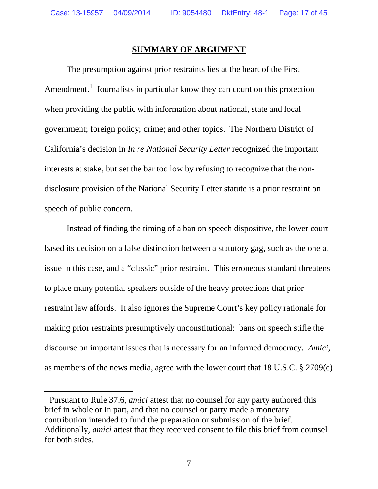#### **SUMMARY OF ARGUMENT**

The presumption against prior restraints lies at the heart of the First Amendment.<sup>[1](#page-16-0)</sup> Journalists in particular know they can count on this protection when providing the public with information about national, state and local government; foreign policy; crime; and other topics. The Northern District of California's decision in *In re National Security Letter* recognized the important interests at stake, but set the bar too low by refusing to recognize that the nondisclosure provision of the National Security Letter statute is a prior restraint on speech of public concern.

Instead of finding the timing of a ban on speech dispositive, the lower court based its decision on a false distinction between a statutory gag, such as the one at issue in this case, and a "classic" prior restraint. This erroneous standard threatens to place many potential speakers outside of the heavy protections that prior restraint law affords. It also ignores the Supreme Court's key policy rationale for making prior restraints presumptively unconstitutional: bans on speech stifle the discourse on important issues that is necessary for an informed democracy*. Amici*, as members of the news media, agree with the lower court that 18 U.S.C. § 2709(c)

<span id="page-16-0"></span><sup>1</sup> Pursuant to Rule 37.6, *amici* attest that no counsel for any party authored this brief in whole or in part, and that no counsel or party made a monetary contribution intended to fund the preparation or submission of the brief. Additionally, *amici* attest that they received consent to file this brief from counsel for both sides.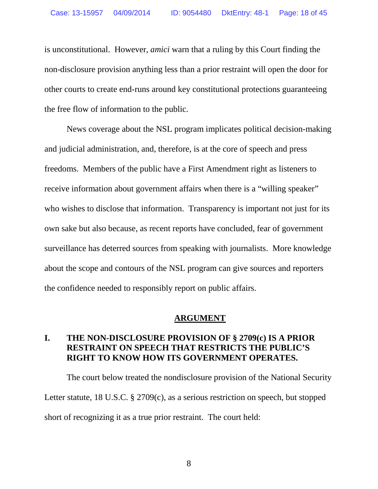is unconstitutional. However, *amici* warn that a ruling by this Court finding the non-disclosure provision anything less than a prior restraint will open the door for other courts to create end-runs around key constitutional protections guaranteeing the free flow of information to the public.

News coverage about the NSL program implicates political decision-making and judicial administration, and, therefore, is at the core of speech and press freedoms. Members of the public have a First Amendment right as listeners to receive information about government affairs when there is a "willing speaker" who wishes to disclose that information. Transparency is important not just for its own sake but also because, as recent reports have concluded, fear of government surveillance has deterred sources from speaking with journalists. More knowledge about the scope and contours of the NSL program can give sources and reporters the confidence needed to responsibly report on public affairs.

#### **ARGUMENT**

## <span id="page-17-0"></span>**I. THE NON-DISCLOSURE PROVISION OF § 2709(c) IS A PRIOR RESTRAINT ON SPEECH THAT RESTRICTS THE PUBLIC'S RIGHT TO KNOW HOW ITS GOVERNMENT OPERATES.**

The court below treated the nondisclosure provision of the National Security Letter statute, 18 U.S.C. § 2709(c), as a serious restriction on speech, but stopped short of recognizing it as a true prior restraint. The court held: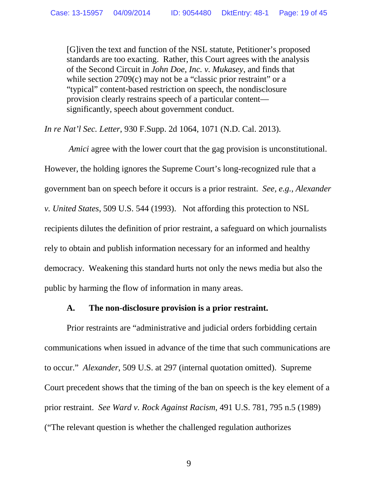[G]iven the text and function of the NSL statute, Petitioner's proposed standards are too exacting. Rather, this Court agrees with the analysis of the Second Circuit in *John Doe, Inc. v. Mukasey*, and finds that while section 2709(c) may not be a "classic prior restraint" or a "typical" content-based restriction on speech, the nondisclosure provision clearly restrains speech of a particular content significantly, speech about government conduct.

*In re Nat'l Sec. Letter*, 930 F.Supp. 2d 1064, 1071 (N.D. Cal. 2013).

*Amici* agree with the lower court that the gag provision is unconstitutional. However, the holding ignores the Supreme Court's long-recognized rule that a government ban on speech before it occurs is a prior restraint. *See, e.g., Alexander v. United States*, 509 U.S. 544 (1993). Not affording this protection to NSL recipients dilutes the definition of prior restraint, a safeguard on which journalists rely to obtain and publish information necessary for an informed and healthy democracy. Weakening this standard hurts not only the news media but also the public by harming the flow of information in many areas.

#### **A. The non-disclosure provision is a prior restraint.**

<span id="page-18-0"></span>Prior restraints are "administrative and judicial orders forbidding certain communications when issued in advance of the time that such communications are to occur." *Alexander*, 509 U.S. at 297 (internal quotation omitted). Supreme Court precedent shows that the timing of the ban on speech is the key element of a prior restraint. *See Ward v. Rock Against Racism*, 491 U.S. 781, 795 n.5 (1989) ("The relevant question is whether the challenged regulation authorizes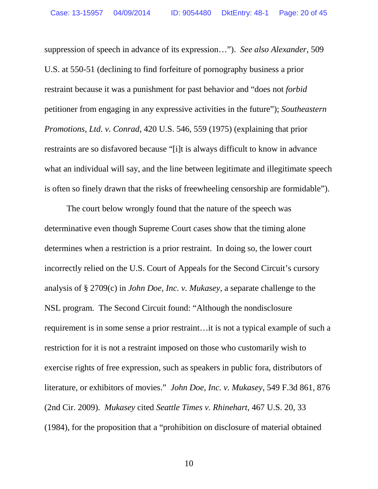suppression of speech in advance of its expression…"). *See also Alexander*, 509 U.S. at 550-51 (declining to find forfeiture of pornography business a prior restraint because it was a punishment for past behavior and "does not *forbid* petitioner from engaging in any expressive activities in the future"); *Southeastern Promotions, Ltd. v. Conrad*, 420 U.S. 546, 559 (1975) (explaining that prior restraints are so disfavored because "[i]t is always difficult to know in advance what an individual will say, and the line between legitimate and illegitimate speech is often so finely drawn that the risks of freewheeling censorship are formidable").

The court below wrongly found that the nature of the speech was determinative even though Supreme Court cases show that the timing alone determines when a restriction is a prior restraint. In doing so, the lower court incorrectly relied on the U.S. Court of Appeals for the Second Circuit's cursory analysis of § 2709(c) in *John Doe, Inc. v. Mukasey*, a separate challenge to the NSL program. The Second Circuit found: "Although the nondisclosure requirement is in some sense a prior restraint…it is not a typical example of such a restriction for it is not a restraint imposed on those who customarily wish to exercise rights of free expression, such as speakers in public fora, distributors of literature, or exhibitors of movies." *John Doe, Inc. v. Mukasey*, 549 F.3d 861, 876 (2nd Cir. 2009). *Mukasey* cited *Seattle Times v. Rhinehart*, 467 U.S. 20, 33 (1984), for the proposition that a "prohibition on disclosure of material obtained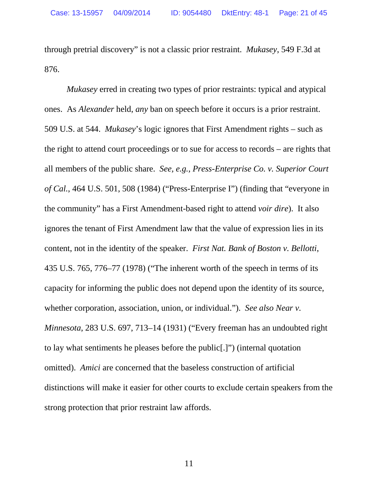through pretrial discovery" is not a classic prior restraint. *Mukasey*, 549 F.3d at 876.

*Mukasey* erred in creating two types of prior restraints: typical and atypical ones. As *Alexander* held, *any* ban on speech before it occurs is a prior restraint. 509 U.S. at 544. *Mukasey*'s logic ignores that First Amendment rights – such as the right to attend court proceedings or to sue for access to records – are rights that all members of the public share. *See, e.g., Press-Enterprise Co. v. Superior Court of Cal.*, 464 U.S. 501, 508 (1984) ("Press-Enterprise I") (finding that "everyone in the community" has a First Amendment-based right to attend *voir dire*). It also ignores the tenant of First Amendment law that the value of expression lies in its content, not in the identity of the speaker. *First Nat. Bank of Boston v. Bellotti*, 435 U.S. 765, 776–77 (1978) ("The inherent worth of the speech in terms of its capacity for informing the public does not depend upon the identity of its source, whether corporation, association, union, or individual."). *See also Near v. Minnesota*, 283 U.S. 697, 713–14 (1931) ("Every freeman has an undoubted right to lay what sentiments he pleases before the public[.]") (internal quotation omitted). *Amici* are concerned that the baseless construction of artificial distinctions will make it easier for other courts to exclude certain speakers from the strong protection that prior restraint law affords.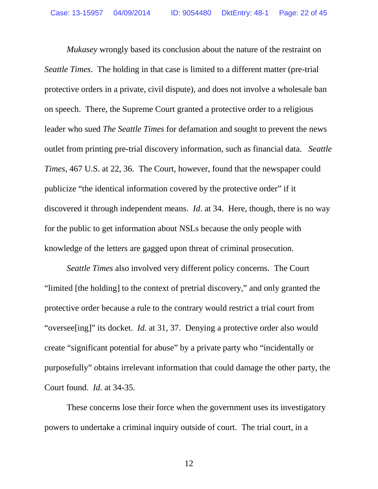*Mukasey* wrongly based its conclusion about the nature of the restraint on *Seattle Times*. The holding in that case is limited to a different matter (pre-trial protective orders in a private, civil dispute), and does not involve a wholesale ban on speech. There, the Supreme Court granted a protective order to a religious leader who sued *The Seattle Times* for defamation and sought to prevent the news outlet from printing pre-trial discovery information, such as financial data. *Seattle Times*, 467 U.S. at 22, 36. The Court, however, found that the newspaper could publicize "the identical information covered by the protective order" if it discovered it through independent means. *Id*. at 34. Here, though, there is no way for the public to get information about NSLs because the only people with knowledge of the letters are gagged upon threat of criminal prosecution.

*Seattle Times* also involved very different policy concerns. The Court "limited [the holding] to the context of pretrial discovery," and only granted the protective order because a rule to the contrary would restrict a trial court from "oversee<sup>[ing]"</sup> its docket. *Id.* at 31, 37. Denying a protective order also would create "significant potential for abuse" by a private party who "incidentally or purposefully" obtains irrelevant information that could damage the other party, the Court found. *Id.* at 34-35.

These concerns lose their force when the government uses its investigatory powers to undertake a criminal inquiry outside of court. The trial court, in a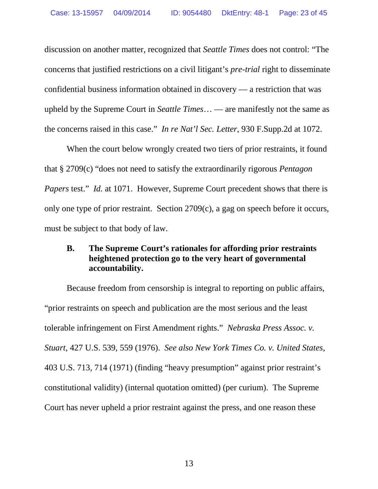discussion on another matter, recognized that *Seattle Times* does not control: "The concerns that justified restrictions on a civil litigant's *pre-trial* right to disseminate confidential business information obtained in discovery — a restriction that was upheld by the Supreme Court in *Seattle Times*… — are manifestly not the same as the concerns raised in this case." *In re Nat'l Sec. Letter*, 930 F.Supp.2d at 1072.

When the court below wrongly created two tiers of prior restraints, it found that § 2709(c) "does not need to satisfy the extraordinarily rigorous *Pentagon Papers* test." *Id.* at 1071. However, Supreme Court precedent shows that there is only one type of prior restraint. Section 2709(c), a gag on speech before it occurs, must be subject to that body of law.

## <span id="page-22-0"></span>**B. The Supreme Court's rationales for affording prior restraints heightened protection go to the very heart of governmental accountability.**

Because freedom from censorship is integral to reporting on public affairs, "prior restraints on speech and publication are the most serious and the least tolerable infringement on First Amendment rights." *Nebraska Press Assoc. v. Stuart*, 427 U.S. 539, 559 (1976). *See also New York Times Co. v. United States*, 403 U.S. 713, 714 (1971) (finding "heavy presumption" against prior restraint's constitutional validity) (internal quotation omitted) (per curium). The Supreme Court has never upheld a prior restraint against the press, and one reason these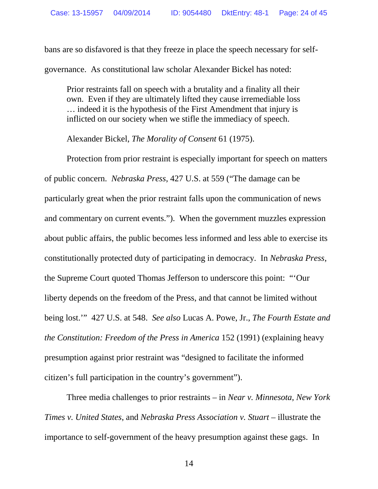bans are so disfavored is that they freeze in place the speech necessary for selfgovernance. As constitutional law scholar Alexander Bickel has noted:

Prior restraints fall on speech with a brutality and a finality all their own. Even if they are ultimately lifted they cause irremediable loss … indeed it is the hypothesis of the First Amendment that injury is inflicted on our society when we stifle the immediacy of speech.

Alexander Bickel, *The Morality of Consent* 61 (1975).

Protection from prior restraint is especially important for speech on matters of public concern. *Nebraska Press*, 427 U.S. at 559 ("The damage can be particularly great when the prior restraint falls upon the communication of news and commentary on current events."). When the government muzzles expression about public affairs, the public becomes less informed and less able to exercise its constitutionally protected duty of participating in democracy. In *Nebraska Press*, the Supreme Court quoted Thomas Jefferson to underscore this point: "'Our liberty depends on the freedom of the Press, and that cannot be limited without being lost.'" 427 U.S. at 548. *See also* Lucas A. Powe, Jr., *The Fourth Estate and the Constitution: Freedom of the Press in America* 152 (1991) (explaining heavy presumption against prior restraint was "designed to facilitate the informed citizen's full participation in the country's government").

Three media challenges to prior restraints – in *Near v. Minnesota*, *New York Times v. United States*, and *Nebraska Press Association v. Stuart* – illustrate the importance to self-government of the heavy presumption against these gags. In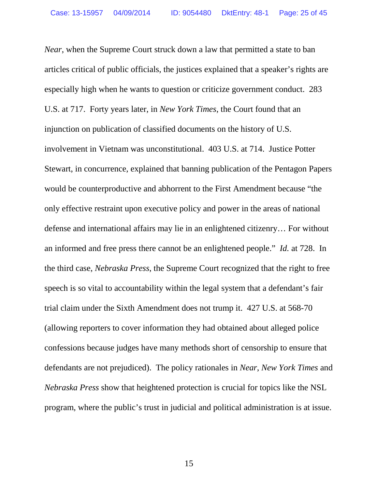*Near*, when the Supreme Court struck down a law that permitted a state to ban articles critical of public officials, the justices explained that a speaker's rights are especially high when he wants to question or criticize government conduct. 283 U.S. at 717. Forty years later, in *New York Times*, the Court found that an injunction on publication of classified documents on the history of U.S. involvement in Vietnam was unconstitutional. 403 U.S. at 714. Justice Potter Stewart, in concurrence, explained that banning publication of the Pentagon Papers would be counterproductive and abhorrent to the First Amendment because "the only effective restraint upon executive policy and power in the areas of national defense and international affairs may lie in an enlightened citizenry… For without an informed and free press there cannot be an enlightened people." *Id.* at 728. In the third case, *Nebraska Press*, the Supreme Court recognized that the right to free speech is so vital to accountability within the legal system that a defendant's fair trial claim under the Sixth Amendment does not trump it. 427 U.S. at 568-70 (allowing reporters to cover information they had obtained about alleged police confessions because judges have many methods short of censorship to ensure that defendants are not prejudiced). The policy rationales in *Near*, *New York Times* and *Nebraska Press* show that heightened protection is crucial for topics like the NSL program, where the public's trust in judicial and political administration is at issue.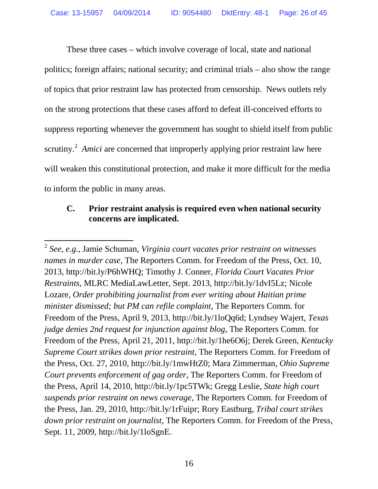These three cases – which involve coverage of local, state and national politics; foreign affairs; national security; and criminal trials – also show the range of topics that prior restraint law has protected from censorship. News outlets rely on the strong protections that these cases afford to defeat ill-conceived efforts to suppress reporting whenever the government has sought to shield itself from public scrutiny.<sup>[2](#page-25-1)</sup> Amici are concerned that improperly applying prior restraint law here will weaken this constitutional protection, and make it more difficult for the media to inform the public in many areas.

## <span id="page-25-0"></span>**C. Prior restraint analysis is required even when national security concerns are implicated.**

<span id="page-25-1"></span><sup>2</sup> *See, e.g.,* Jamie Schuman, *Virginia court vacates prior restraint on witnesses names in murder case*, The Reporters Comm. for Freedom of the Press, Oct. 10, 2013, http://bit.ly/P6hWHQ; Timothy J. Conner, *Florida Court Vacates Prior Restraints*, MLRC MediaLawLetter, Sept. 2013, http://bit.ly/1dvI5Lz; Nicole Lozare, *Order prohibiting journalist from ever writing about Haitian prime minister dismissed; but PM can refile complaint*, The Reporters Comm. for Freedom of the Press, April 9, 2013, http://bit.ly/1loQq6d; Lyndsey Wajert, *Texas judge denies 2nd request for injunction against blog*, The Reporters Comm. for Freedom of the Press, April 21, 2011, http://bit.ly/1he6O6j; Derek Green, *Kentucky Supreme Court strikes down prior restraint*, The Reporters Comm. for Freedom of the Press, Oct. 27, 2010, http://bit.ly/1mwHtZ0; Mara Zimmerman, *Ohio Supreme Court prevents enforcement of gag order*, The Reporters Comm. for Freedom of the Press, April 14, 2010, http://bit.ly/1pc5TWk; Gregg Leslie, *State high court suspends prior restraint on news coverage*, The Reporters Comm. for Freedom of the Press, Jan. 29, 2010, http://bit.ly/1rFuipr; Rory Eastburg, *Tribal court strikes down prior restraint on journalist*, The Reporters Comm. for Freedom of the Press, Sept. 11, 2009, http://bit.ly/1loSgnE.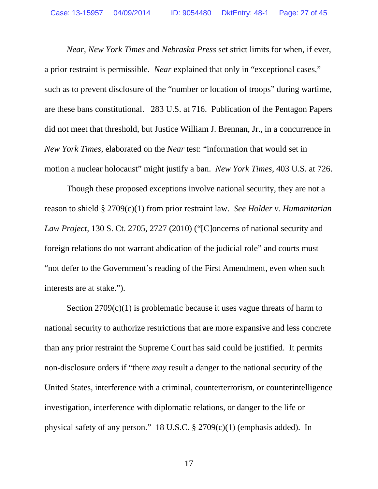*Near*, *New York Times* and *Nebraska Press* set strict limits for when, if ever, a prior restraint is permissible. *Near* explained that only in "exceptional cases," such as to prevent disclosure of the "number or location of troops" during wartime, are these bans constitutional. 283 U.S. at 716. Publication of the Pentagon Papers did not meet that threshold, but Justice William J. Brennan, Jr., in a concurrence in *New York Times*, elaborated on the *Near* test: "information that would set in motion a nuclear holocaust" might justify a ban. *New York Times*, 403 U.S. at 726.

Though these proposed exceptions involve national security, they are not a reason to shield § 2709(c)(1) from prior restraint law. *See Holder v. Humanitarian Law Project*, 130 S. Ct. 2705, 2727 (2010) ("[C]oncerns of national security and foreign relations do not warrant abdication of the judicial role" and courts must "not defer to the Government's reading of the First Amendment, even when such interests are at stake.").

Section  $2709(c)(1)$  is problematic because it uses vague threats of harm to national security to authorize restrictions that are more expansive and less concrete than any prior restraint the Supreme Court has said could be justified. It permits non-disclosure orders if "there *may* result a danger to the national security of the United States, interference with a criminal, counterterrorism, or counterintelligence investigation, interference with diplomatic relations, or danger to the life or physical safety of any person." 18 U.S.C. § 2709(c)(1) (emphasis added). In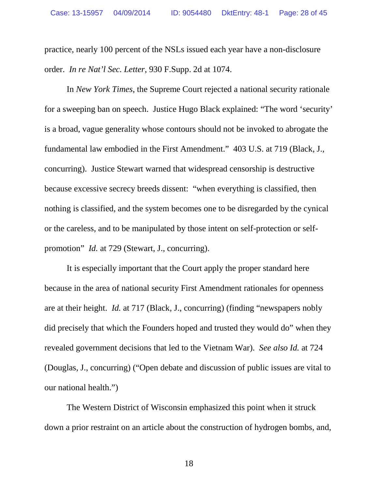practice, nearly 100 percent of the NSLs issued each year have a non-disclosure order. *In re Nat'l Sec. Letter*, 930 F.Supp. 2d at 1074.

In *New York Times*, the Supreme Court rejected a national security rationale for a sweeping ban on speech. Justice Hugo Black explained: "The word 'security' is a broad, vague generality whose contours should not be invoked to abrogate the fundamental law embodied in the First Amendment." 403 U.S. at 719 (Black, J., concurring). Justice Stewart warned that widespread censorship is destructive because excessive secrecy breeds dissent: "when everything is classified, then nothing is classified, and the system becomes one to be disregarded by the cynical or the careless, and to be manipulated by those intent on self-protection or selfpromotion" *Id.* at 729 (Stewart, J., concurring).

It is especially important that the Court apply the proper standard here because in the area of national security First Amendment rationales for openness are at their height. *Id.* at 717 (Black, J., concurring) (finding "newspapers nobly did precisely that which the Founders hoped and trusted they would do" when they revealed government decisions that led to the Vietnam War). *See also Id.* at 724 (Douglas, J., concurring) ("Open debate and discussion of public issues are vital to our national health.")

The Western District of Wisconsin emphasized this point when it struck down a prior restraint on an article about the construction of hydrogen bombs, and,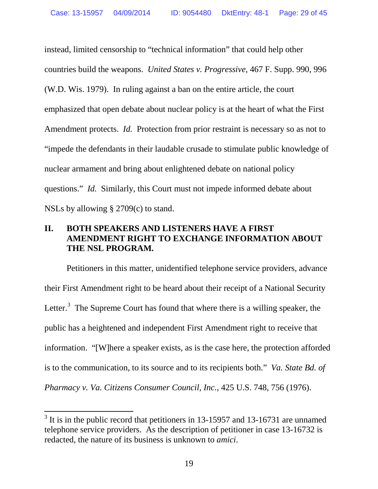instead, limited censorship to "technical information" that could help other countries build the weapons. *United States v. Progressive,* 467 F. Supp. 990, 996 (W.D. Wis. 1979). In ruling against a ban on the entire article, the court emphasized that open debate about nuclear policy is at the heart of what the First Amendment protects. *Id.* Protection from prior restraint is necessary so as not to "impede the defendants in their laudable crusade to stimulate public knowledge of nuclear armament and bring about enlightened debate on national policy questions." *Id.* Similarly, this Court must not impede informed debate about NSLs by allowing § 2709(c) to stand.

## <span id="page-28-0"></span>**II. BOTH SPEAKERS AND LISTENERS HAVE A FIRST AMENDMENT RIGHT TO EXCHANGE INFORMATION ABOUT THE NSL PROGRAM.**

Petitioners in this matter, unidentified telephone service providers, advance their First Amendment right to be heard about their receipt of a National Security Letter.<sup>[3](#page-28-1)</sup> The Supreme Court has found that where there is a willing speaker, the public has a heightened and independent First Amendment right to receive that information. "[W]here a speaker exists, as is the case here, the protection afforded is to the communication, to its source and to its recipients both." *Va. State Bd. of Pharmacy v. Va. Citizens Consumer Council, Inc.*, 425 U.S. 748, 756 (1976).

<span id="page-28-1"></span> $3$  It is in the public record that petitioners in 13-15957 and 13-16731 are unnamed telephone service providers. As the description of petitioner in case 13-16732 is redacted, the nature of its business is unknown to *amici*.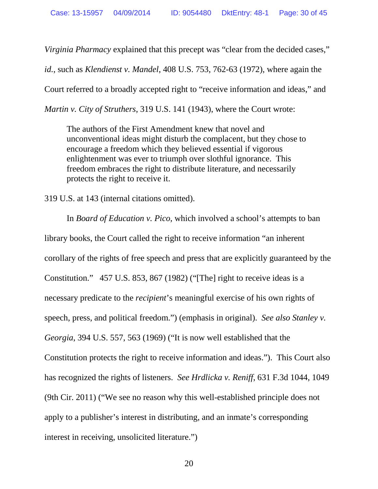*Virginia Pharmacy* explained that this precept was "clear from the decided cases,"

*id.*, such as *Klendienst v. Mandel*, 408 U.S. 753, 762-63 (1972), where again the

Court referred to a broadly accepted right to "receive information and ideas," and

*Martin v. City of Struthers*, 319 U.S. 141 (1943), where the Court wrote:

The authors of the First Amendment knew that novel and unconventional ideas might disturb the complacent, but they chose to encourage a freedom which they believed essential if vigorous enlightenment was ever to triumph over slothful ignorance. This freedom embraces the right to distribute literature, and necessarily protects the right to receive it.

319 U.S. at 143 (internal citations omitted).

In *Board of Education v. Pico*, which involved a school's attempts to ban library books, the Court called the right to receive information "an inherent corollary of the rights of free speech and press that are explicitly guaranteed by the Constitution." 457 U.S. 853, 867 (1982) ("[The] right to receive ideas is a necessary predicate to the *recipient*'s meaningful exercise of his own rights of speech, press, and political freedom.") (emphasis in original). *See also Stanley v. Georgia*, 394 U.S. 557, 563 (1969) ("It is now well established that the Constitution protects the right to receive information and ideas."). This Court also has recognized the rights of listeners. *See Hrdlicka v. Reniff*, 631 F.3d 1044, 1049 (9th Cir. 2011) ("We see no reason why this well-established principle does not apply to a publisher's interest in distributing, and an inmate's corresponding interest in receiving, unsolicited literature.")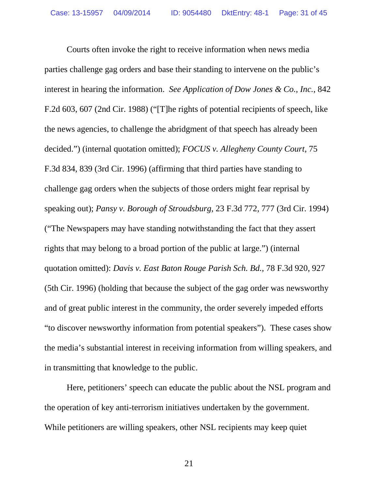Courts often invoke the right to receive information when news media parties challenge gag orders and base their standing to intervene on the public's interest in hearing the information. *See Application of Dow Jones & Co., Inc.*, 842 F.2d 603, 607 (2nd Cir. 1988) ("[T]he rights of potential recipients of speech, like the news agencies, to challenge the abridgment of that speech has already been decided.") (internal quotation omitted); *FOCUS v. Allegheny County Court*, 75 F.3d 834, 839 (3rd Cir. 1996) (affirming that third parties have standing to challenge gag orders when the subjects of those orders might fear reprisal by speaking out); *Pansy v. Borough of Stroudsburg*, 23 F.3d 772, 777 (3rd Cir. 1994) ("The Newspapers may have standing notwithstanding the fact that they assert rights that may belong to a broad portion of the public at large.") (internal quotation omitted): *Davis v. East Baton Rouge Parish Sch. Bd.*, 78 F.3d 920, 927 (5th Cir. 1996) (holding that because the subject of the gag order was newsworthy and of great public interest in the community, the order severely impeded efforts "to discover newsworthy information from potential speakers"). These cases show the media's substantial interest in receiving information from willing speakers, and in transmitting that knowledge to the public.

Here, petitioners' speech can educate the public about the NSL program and the operation of key anti-terrorism initiatives undertaken by the government. While petitioners are willing speakers, other NSL recipients may keep quiet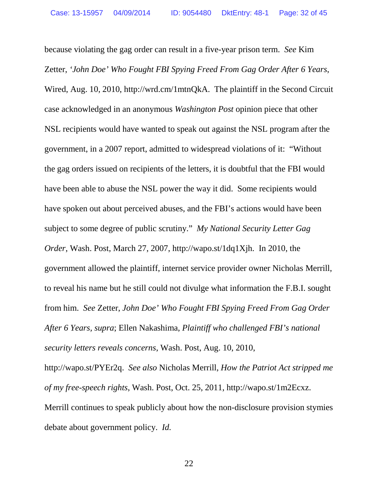because violating the gag order can result in a five-year prison term. *See* Kim Zetter, *'John Doe' Who Fought FBI Spying Freed From Gag Order After 6 Years*, Wired, Aug. 10, 2010, http://wrd.cm/1mtnQkA. The plaintiff in the Second Circuit case acknowledged in an anonymous *Washington Post* opinion piece that other NSL recipients would have wanted to speak out against the NSL program after the government, in a 2007 report, admitted to widespread violations of it: "Without the gag orders issued on recipients of the letters, it is doubtful that the FBI would have been able to abuse the NSL power the way it did. Some recipients would have spoken out about perceived abuses, and the FBI's actions would have been subject to some degree of public scrutiny." *My National Security Letter Gag Order*, Wash. Post, March 27, 2007, http://wapo.st/1dq1Xjh. In 2010, the government allowed the plaintiff, internet service provider owner Nicholas Merrill, to reveal his name but he still could not divulge what information the F.B.I. sought from him. *See* Zetter, *John Doe' Who Fought FBI Spying Freed From Gag Order After 6 Years, supra*; Ellen Nakashima, *Plaintiff who challenged FBI's national security letters reveals concerns*, Wash. Post, Aug. 10, 2010, http://wapo.st/PYEr2q. *See also* Nicholas Merrill, *How the Patriot Act stripped me of my free-speech rights*, Wash. Post, Oct. 25, 2011, http://wapo.st/1m2Ecxz.

Merrill continues to speak publicly about how the non-disclosure provision stymies debate about government policy. *Id.*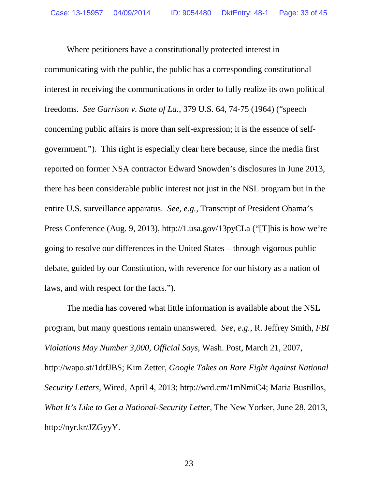Where petitioners have a constitutionally protected interest in communicating with the public, the public has a corresponding constitutional interest in receiving the communications in order to fully realize its own political freedoms. *See Garrison v. State of La.*, 379 U.S. 64, 74-75 (1964) ("speech concerning public affairs is more than self-expression; it is the essence of selfgovernment."). This right is especially clear here because, since the media first reported on former NSA contractor Edward Snowden's disclosures in June 2013, there has been considerable public interest not just in the NSL program but in the entire U.S. surveillance apparatus. *See, e.g.*, Transcript of President Obama's Press Conference (Aug. 9, 2013), http://1.usa.gov/13pyCLa ("[T]his is how we're going to resolve our differences in the United States – through vigorous public debate, guided by our Constitution, with reverence for our history as a nation of laws, and with respect for the facts.").

The media has covered what little information is available about the NSL program, but many questions remain unanswered. *See, e.g.*, R. Jeffrey Smith, *FBI Violations May Number 3,000, Official Says*, Wash. Post, March 21, 2007, http://wapo.st/1dtfJBS; Kim Zetter, *Google Takes on Rare Fight Against National Security Letters*, Wired, April 4, 2013; http://wrd.cm/1mNmiC4; Maria Bustillos, *What It's Like to Get a National-Security Letter*, The New Yorker, June 28, 2013, http://nyr.kr/JZGyyY.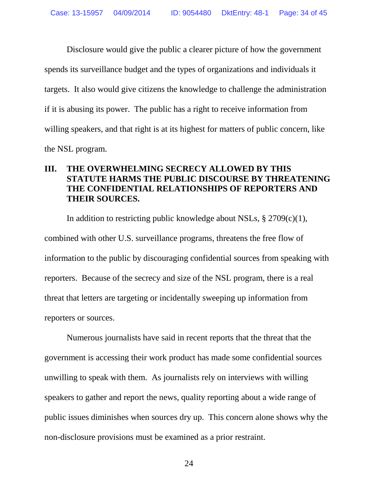Disclosure would give the public a clearer picture of how the government spends its surveillance budget and the types of organizations and individuals it targets. It also would give citizens the knowledge to challenge the administration if it is abusing its power. The public has a right to receive information from willing speakers, and that right is at its highest for matters of public concern, like the NSL program.

## <span id="page-33-0"></span>**III. THE OVERWHELMING SECRECY ALLOWED BY THIS STATUTE HARMS THE PUBLIC DISCOURSE BY THREATENING THE CONFIDENTIAL RELATIONSHIPS OF REPORTERS AND THEIR SOURCES.**

In addition to restricting public knowledge about NSLs,  $\S 2709(c)(1)$ , combined with other U.S. surveillance programs, threatens the free flow of information to the public by discouraging confidential sources from speaking with reporters. Because of the secrecy and size of the NSL program, there is a real threat that letters are targeting or incidentally sweeping up information from reporters or sources.

Numerous journalists have said in recent reports that the threat that the government is accessing their work product has made some confidential sources unwilling to speak with them. As journalists rely on interviews with willing speakers to gather and report the news, quality reporting about a wide range of public issues diminishes when sources dry up. This concern alone shows why the non-disclosure provisions must be examined as a prior restraint.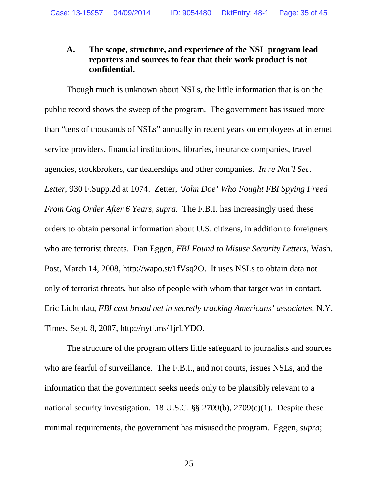## <span id="page-34-0"></span>**A. The scope, structure, and experience of the NSL program lead reporters and sources to fear that their work product is not confidential.**

Though much is unknown about NSLs, the little information that is on the public record shows the sweep of the program. The government has issued more than "tens of thousands of NSLs" annually in recent years on employees at internet service providers, financial institutions, libraries, insurance companies, travel agencies, stockbrokers, car dealerships and other companies. *In re Nat'l Sec. Letter*, 930 F.Supp.2d at 1074. Zetter, *'John Doe' Who Fought FBI Spying Freed From Gag Order After 6 Years*, *supra.* The F.B.I. has increasingly used these orders to obtain personal information about U.S. citizens, in addition to foreigners who are terrorist threats. Dan Eggen, *FBI Found to Misuse Security Letters*, Wash. Post, March 14, 2008, http://wapo.st/1fVsq2O. It uses NSLs to obtain data not only of terrorist threats, but also of people with whom that target was in contact. Eric Lichtblau, *FBI cast broad net in secretly tracking Americans' associates*, N.Y. Times, Sept. 8, 2007, http://nyti.ms/1jrLYDO.

The structure of the program offers little safeguard to journalists and sources who are fearful of surveillance. The F.B.I., and not courts, issues NSLs, and the information that the government seeks needs only to be plausibly relevant to a national security investigation. 18 U.S.C. §§ 2709(b), 2709(c)(1). Despite these minimal requirements, the government has misused the program. Eggen, *supra*;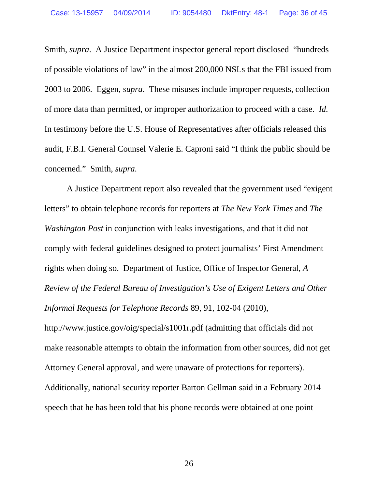Smith, *supra*. A Justice Department inspector general report disclosed "hundreds of possible violations of law" in the almost 200,000 NSLs that the FBI issued from 2003 to 2006. Eggen, *supra*. These misuses include improper requests, collection of more data than permitted, or improper authorization to proceed with a case. *Id.* In testimony before the U.S. House of Representatives after officials released this audit, F.B.I. General Counsel Valerie E. Caproni said "I think the public should be concerned." Smith, *supra.*

A Justice Department report also revealed that the government used "exigent letters" to obtain telephone records for reporters at *The New York Times* and *The Washington Post* in conjunction with leaks investigations, and that it did not comply with federal guidelines designed to protect journalists' First Amendment rights when doing so. Department of Justice, Office of Inspector General, *A Review of the Federal Bureau of Investigation's Use of Exigent Letters and Other Informal Requests for Telephone Records* 89, 91, 102-04 (2010),

http://www.justice.gov/oig/special/s1001r.pdf (admitting that officials did not make reasonable attempts to obtain the information from other sources, did not get Attorney General approval, and were unaware of protections for reporters). Additionally, national security reporter Barton Gellman said in a February 2014 speech that he has been told that his phone records were obtained at one point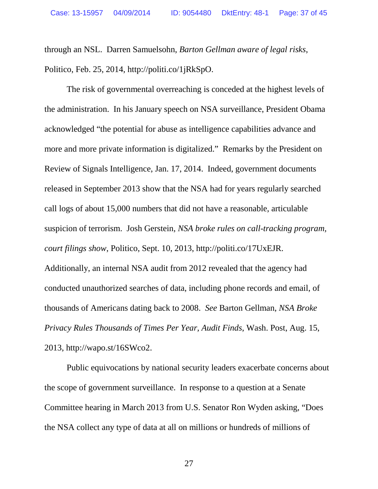through an NSL. Darren Samuelsohn, *Barton Gellman aware of legal risks*, Politico, Feb. 25, 2014, http://politi.co/1jRkSpO.

The risk of governmental overreaching is conceded at the highest levels of the administration. In his January speech on NSA surveillance, President Obama acknowledged "the potential for abuse as intelligence capabilities advance and more and more private information is digitalized." Remarks by the President on Review of Signals Intelligence, Jan. 17, 2014. Indeed, government documents released in September 2013 show that the NSA had for years regularly searched call logs of about 15,000 numbers that did not have a reasonable, articulable suspicion of terrorism. Josh Gerstein, *NSA broke rules on call-tracking program, court filings show*, Politico, Sept. 10, 2013, http://politi.co/17UxEJR. Additionally, an internal NSA audit from 2012 revealed that the agency had conducted unauthorized searches of data, including phone records and email, of thousands of Americans dating back to 2008. *See* Barton Gellman, *NSA Broke Privacy Rules Thousands of Times Per Year, Audit Finds*, Wash. Post, Aug. 15, 2013, http://wapo.st/16SWco2.

Public equivocations by national security leaders exacerbate concerns about the scope of government surveillance. In response to a question at a Senate Committee hearing in March 2013 from U.S. Senator Ron Wyden asking, "Does the NSA collect any type of data at all on millions or hundreds of millions of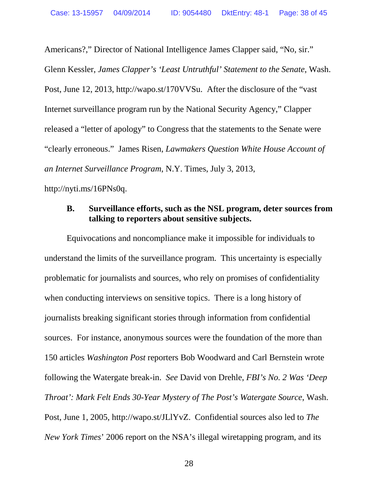Americans?," Director of National Intelligence James Clapper said, "No, sir." Glenn Kessler, *James Clapper's 'Least Untruthful' Statement to the Senate*, Wash. Post, June 12, 2013, http://wapo.st/170VVSu. After the disclosure of the "vast Internet surveillance program run by the National Security Agency," Clapper released a "letter of apology" to Congress that the statements to the Senate were "clearly erroneous." James Risen, *Lawmakers Question White House Account of an Internet Surveillance Program*, N.Y. Times, July 3, 2013, http://nyti.ms/16PNs0q.

### <span id="page-37-0"></span>**B. Surveillance efforts, such as the NSL program, deter sources from talking to reporters about sensitive subjects.**

Equivocations and noncompliance make it impossible for individuals to understand the limits of the surveillance program. This uncertainty is especially problematic for journalists and sources, who rely on promises of confidentiality when conducting interviews on sensitive topics. There is a long history of journalists breaking significant stories through information from confidential sources. For instance, anonymous sources were the foundation of the more than 150 articles *Washington Post* reporters Bob Woodward and Carl Bernstein wrote following the Watergate break-in. *See* David von Drehle, *FBI's No. 2 Was 'Deep Throat': Mark Felt Ends 30-Year Mystery of The Post's Watergate Source*, Wash. Post, June 1, 2005, http://wapo.st/JLlYvZ. Confidential sources also led to *The New York Times*' 2006 report on the NSA's illegal wiretapping program, and its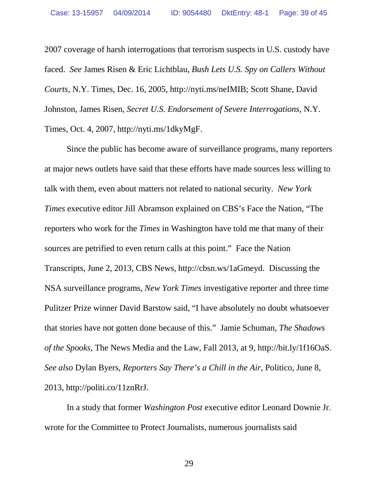2007 coverage of harsh interrogations that terrorism suspects in U.S. custody have faced. *See* James Risen & Eric Lichtblau, *Bush Lets U.S. Spy on Callers Without Courts*, N.Y. Times, Dec. 16, 2005, http://nyti.ms/neIMIB; Scott Shane, David Johnston, James Risen, *Secret U.S. Endorsement of Severe Interrogations*, N.Y. Times, Oct. 4, 2007, http://nyti.ms/1dkyMgF.

Since the public has become aware of surveillance programs, many reporters at major news outlets have said that these efforts have made sources less willing to talk with them, even about matters not related to national security. *New York Times* executive editor Jill Abramson explained on CBS's Face the Nation, "The reporters who work for the *Times* in Washington have told me that many of their sources are petrified to even return calls at this point." Face the Nation Transcripts, June 2, 2013, CBS News, http://cbsn.ws/1aGmeyd. Discussing the NSA surveillance programs, *New York Times* investigative reporter and three time Pulitzer Prize winner David Barstow said, "I have absolutely no doubt whatsoever that stories have not gotten done because of this." Jamie Schuman, *The Shadows of the Spooks*, The News Media and the Law, Fall 2013, at 9, http://bit.ly/1f16OaS. *See also* Dylan Byers, *Reporters Say There's a Chill in the Air*, Politico, June 8, 2013, http://politi.co/11znRrJ.

In a study that former *Washington Post* executive editor Leonard Downie Jr. wrote for the Committee to Protect Journalists, numerous journalists said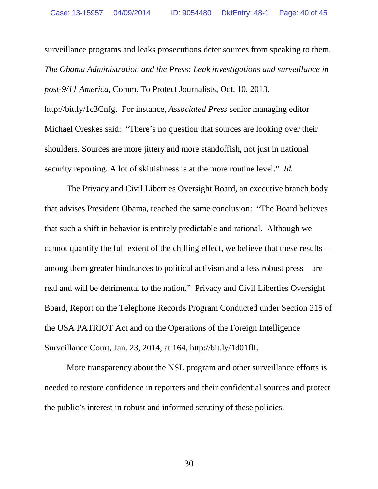surveillance programs and leaks prosecutions deter sources from speaking to them. *The Obama Administration and the Press: Leak investigations and surveillance in post-9/11 America*, Comm. To Protect Journalists, Oct. 10, 2013, http://bit.ly/1c3Cnfg. For instance, *Associated Press* senior managing editor Michael Oreskes said: "There's no question that sources are looking over their shoulders. Sources are more jittery and more standoffish, not just in national security reporting. A lot of skittishness is at the more routine level." *Id.*

The Privacy and Civil Liberties Oversight Board, an executive branch body that advises President Obama, reached the same conclusion: "The Board believes that such a shift in behavior is entirely predictable and rational. Although we cannot quantify the full extent of the chilling effect, we believe that these results – among them greater hindrances to political activism and a less robust press – are real and will be detrimental to the nation." Privacy and Civil Liberties Oversight Board, Report on the Telephone Records Program Conducted under Section 215 of the USA PATRIOT Act and on the Operations of the Foreign Intelligence Surveillance Court, Jan. 23, 2014, at 164, http://bit.ly/1d01flI.

More transparency about the NSL program and other surveillance efforts is needed to restore confidence in reporters and their confidential sources and protect the public's interest in robust and informed scrutiny of these policies.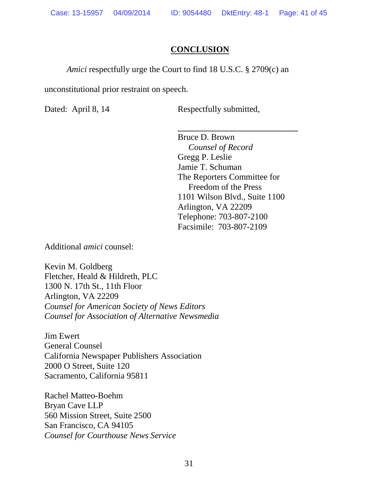## **CONCLUSION**

*Amici* respectfully urge the Court to find 18 U.S.C. § 2709(c) an

unconstitutional prior restraint on speech.

Dated: April 8, 14 Respectfully submitted,

\_\_\_\_\_\_\_\_\_\_\_\_\_\_\_\_\_\_\_\_\_\_\_\_\_\_\_\_ Bruce D. Brown  *Counsel of Record* Gregg P. Leslie Jamie T. Schuman The Reporters Committee for Freedom of the Press 1101 Wilson Blvd., Suite 1100 Arlington, VA 22209 Telephone: 703-807-2100 Facsimile: 703-807-2109

Additional *amici* counsel:

Kevin M. Goldberg Fletcher, Heald & Hildreth, PLC 1300 N. 17th St., 11th Floor Arlington, VA 22209 *Counsel for American Society of News Editors Counsel for Association of Alternative Newsmedia*

Jim Ewert General Counsel California Newspaper Publishers Association 2000 O Street, Suite 120 Sacramento, California 95811

Rachel Matteo-Boehm Bryan Cave LLP 560 Mission Street, Suite 2500 San Francisco, CA 94105 *Counsel for Courthouse News Service*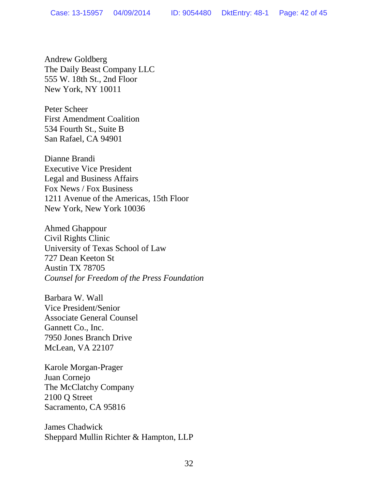Andrew Goldberg The Daily Beast Company LLC 555 W. 18th St., 2nd Floor New York, NY 10011

Peter Scheer First Amendment Coalition 534 Fourth St., Suite B San Rafael, CA 94901

Dianne Brandi Executive Vice President Legal and Business Affairs Fox News / Fox Business 1211 Avenue of the Americas, 15th Floor New York, New York 10036

Ahmed Ghappour Civil Rights Clinic University of Texas School of Law 727 Dean Keeton St Austin TX 78705 *Counsel for Freedom of the Press Foundation*

Barbara W. Wall Vice President/Senior Associate General Counsel Gannett Co., Inc. 7950 Jones Branch Drive McLean, VA 22107

Karole Morgan-Prager Juan Cornejo The McClatchy Company 2100 Q Street Sacramento, CA 95816

James Chadwick Sheppard Mullin Richter & Hampton, LLP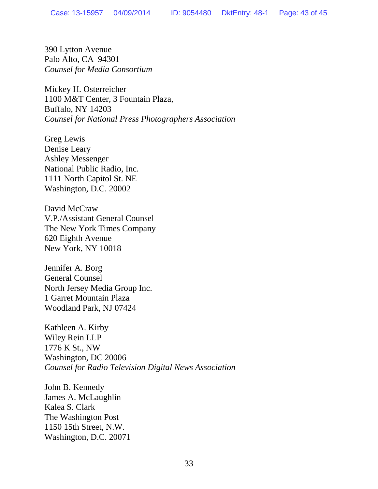390 Lytton Avenue Palo Alto, CA 94301 *Counsel for Media Consortium*

Mickey H. Osterreicher 1100 M&T Center, 3 Fountain Plaza, Buffalo, NY 14203 *Counsel for National Press Photographers Association*

Greg Lewis Denise Leary Ashley Messenger National Public Radio, Inc. 1111 North Capitol St. NE Washington, D.C. 20002

David McCraw V.P./Assistant General Counsel The New York Times Company 620 Eighth Avenue New York, NY 10018

Jennifer A. Borg General Counsel North Jersey Media Group Inc. 1 Garret Mountain Plaza Woodland Park, NJ 07424

Kathleen A. Kirby Wiley Rein LLP 1776 K St., NW Washington, DC 20006 *Counsel for Radio Television Digital News Association*

John B. Kennedy James A. McLaughlin Kalea S. Clark The Washington Post 1150 15th Street, N.W. Washington, D.C. 20071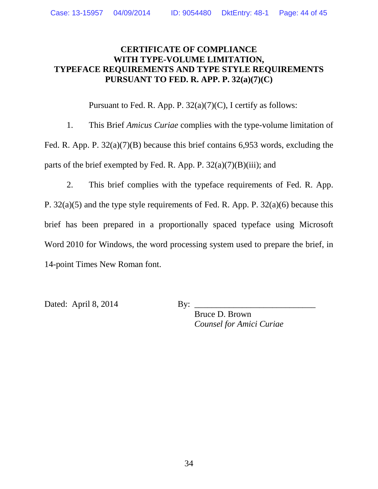## **CERTIFICATE OF COMPLIANCE WITH TYPE-VOLUME LIMITATION, TYPEFACE REQUIREMENTS AND TYPE STYLE REQUIREMENTS PURSUANT TO FED. R. APP. P. 32(a)(7)(C)**

Pursuant to Fed. R. App. P.  $32(a)(7)(C)$ , I certify as follows:

1. This Brief *Amicus Curiae* complies with the type-volume limitation of Fed. R. App. P. 32(a)(7)(B) because this brief contains 6,953 words, excluding the parts of the brief exempted by Fed. R. App. P.  $32(a)(7)(B)(iii)$ ; and

2. This brief complies with the typeface requirements of Fed. R. App. P. 32(a)(5) and the type style requirements of Fed. R. App. P. 32(a)(6) because this brief has been prepared in a proportionally spaced typeface using Microsoft Word 2010 for Windows, the word processing system used to prepare the brief, in

14-point Times New Roman font.

Dated: April 8, 2014 By:

Bruce D. Brown *Counsel for Amici Curiae*